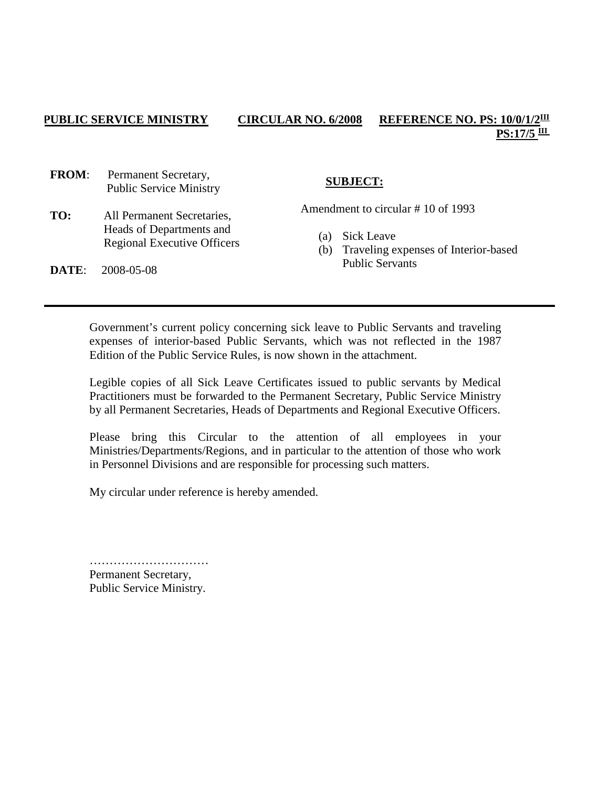## **PUBLIC SERVICE MINISTRY CIRCULAR NO. 6/2008 REFERENCE NO. PS: 10/0/1/2III**  $PS:17/5$ <sup>III</sup>

**FROM**: Permanent Secretary, Public Service Ministry

**TO:** All Permanent Secretaries, Heads of Departments and Regional Executive Officers

# **SUBJECT:**

Amendment to circular # 10 of 1993

- (a) Sick Leave
- (b) Traveling expenses of Interior-based Public Servants

**DATE**: 2008-05-08

Government's current policy concerning sick leave to Public Servants and traveling expenses of interior-based Public Servants, which was not reflected in the 1987 Edition of the Public Service Rules, is now shown in the attachment.

Legible copies of all Sick Leave Certificates issued to public servants by Medical Practitioners must be forwarded to the Permanent Secretary, Public Service Ministry by all Permanent Secretaries, Heads of Departments and Regional Executive Officers.

Please bring this Circular to the attention of all employees in your Ministries/Departments/Regions, and in particular to the attention of those who work in Personnel Divisions and are responsible for processing such matters.

My circular under reference is hereby amended.

………………………… Permanent Secretary, Public Service Ministry.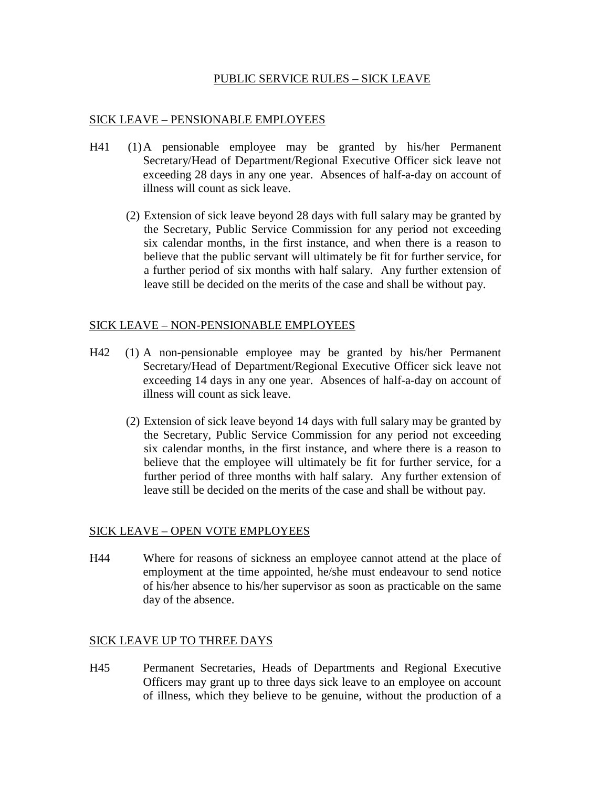## PUBLIC SERVICE RULES – SICK LEAVE

### SICK LEAVE – PENSIONABLE EMPLOYEES

- H41 (1)A pensionable employee may be granted by his/her Permanent Secretary/Head of Department/Regional Executive Officer sick leave not exceeding 28 days in any one year. Absences of half-a-day on account of illness will count as sick leave.
	- (2) Extension of sick leave beyond 28 days with full salary may be granted by the Secretary, Public Service Commission for any period not exceeding six calendar months, in the first instance, and when there is a reason to believe that the public servant will ultimately be fit for further service, for a further period of six months with half salary. Any further extension of leave still be decided on the merits of the case and shall be without pay.

#### SICK LEAVE – NON-PENSIONABLE EMPLOYEES

- H42 (1) A non-pensionable employee may be granted by his/her Permanent Secretary/Head of Department/Regional Executive Officer sick leave not exceeding 14 days in any one year. Absences of half-a-day on account of illness will count as sick leave.
	- (2) Extension of sick leave beyond 14 days with full salary may be granted by the Secretary, Public Service Commission for any period not exceeding six calendar months, in the first instance, and where there is a reason to believe that the employee will ultimately be fit for further service, for a further period of three months with half salary. Any further extension of leave still be decided on the merits of the case and shall be without pay.

#### SICK LEAVE – OPEN VOTE EMPLOYEES

H44 Where for reasons of sickness an employee cannot attend at the place of employment at the time appointed, he/she must endeavour to send notice of his/her absence to his/her supervisor as soon as practicable on the same day of the absence.

## SICK LEAVE UP TO THREE DAYS

H45 Permanent Secretaries, Heads of Departments and Regional Executive Officers may grant up to three days sick leave to an employee on account of illness, which they believe to be genuine, without the production of a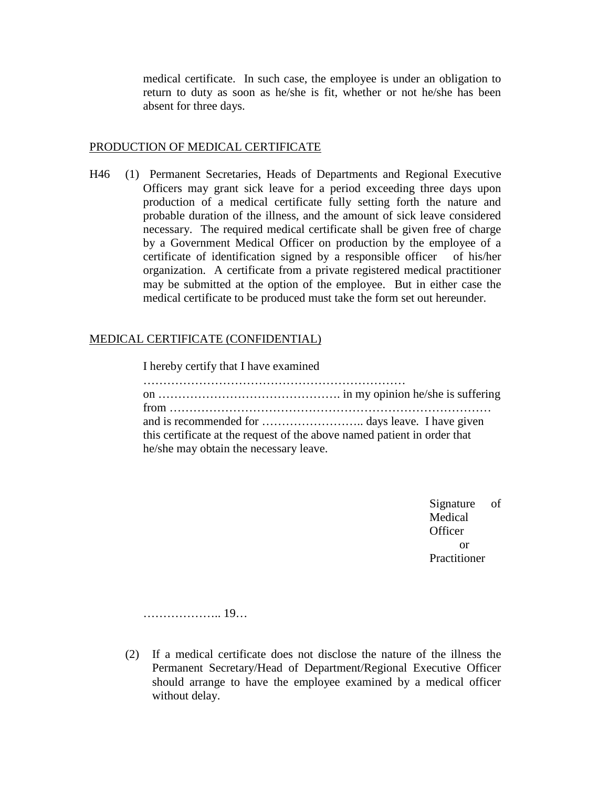medical certificate. In such case, the employee is under an obligation to return to duty as soon as he/she is fit, whether or not he/she has been absent for three days.

### PRODUCTION OF MEDICAL CERTIFICATE

H46 (1) Permanent Secretaries, Heads of Departments and Regional Executive Officers may grant sick leave for a period exceeding three days upon production of a medical certificate fully setting forth the nature and probable duration of the illness, and the amount of sick leave considered necessary. The required medical certificate shall be given free of charge by a Government Medical Officer on production by the employee of a certificate of identification signed by a responsible officer of his/her organization. A certificate from a private registered medical practitioner may be submitted at the option of the employee. But in either case the medical certificate to be produced must take the form set out hereunder.

## MEDICAL CERTIFICATE (CONFIDENTIAL)

| I hereby certify that I have examined                                    |  |
|--------------------------------------------------------------------------|--|
|                                                                          |  |
| this certificate at the request of the above named patient in order that |  |
| he/she may obtain the necessary leave.                                   |  |

Signature of Medical **Officer**  or Practitioner

……………….. 19…

(2) If a medical certificate does not disclose the nature of the illness the Permanent Secretary/Head of Department/Regional Executive Officer should arrange to have the employee examined by a medical officer without delay.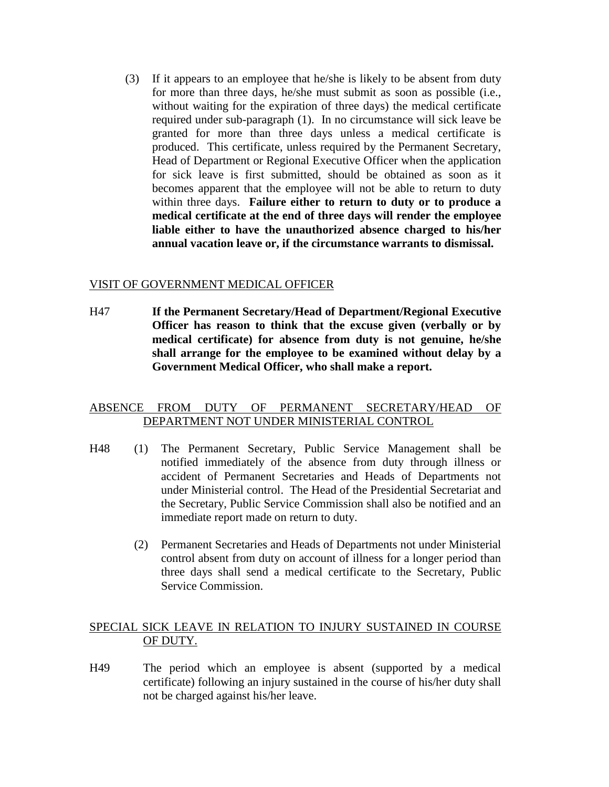(3) If it appears to an employee that he/she is likely to be absent from duty for more than three days, he/she must submit as soon as possible (i.e., without waiting for the expiration of three days) the medical certificate required under sub-paragraph (1). In no circumstance will sick leave be granted for more than three days unless a medical certificate is produced. This certificate, unless required by the Permanent Secretary, Head of Department or Regional Executive Officer when the application for sick leave is first submitted, should be obtained as soon as it becomes apparent that the employee will not be able to return to duty within three days. **Failure either to return to duty or to produce a medical certificate at the end of three days will render the employee liable either to have the unauthorized absence charged to his/her annual vacation leave or, if the circumstance warrants to dismissal.**

## VISIT OF GOVERNMENT MEDICAL OFFICER

H47 **If the Permanent Secretary/Head of Department/Regional Executive Officer has reason to think that the excuse given (verbally or by medical certificate) for absence from duty is not genuine, he/she shall arrange for the employee to be examined without delay by a Government Medical Officer, who shall make a report.**

## ABSENCE FROM DUTY OF PERMANENT SECRETARY/HEAD OF DEPARTMENT NOT UNDER MINISTERIAL CONTROL

- H48 (1) The Permanent Secretary, Public Service Management shall be notified immediately of the absence from duty through illness or accident of Permanent Secretaries and Heads of Departments not under Ministerial control. The Head of the Presidential Secretariat and the Secretary, Public Service Commission shall also be notified and an immediate report made on return to duty.
	- (2) Permanent Secretaries and Heads of Departments not under Ministerial control absent from duty on account of illness for a longer period than three days shall send a medical certificate to the Secretary, Public Service Commission.

## SPECIAL SICK LEAVE IN RELATION TO INJURY SUSTAINED IN COURSE OF DUTY.

H49 The period which an employee is absent (supported by a medical certificate) following an injury sustained in the course of his/her duty shall not be charged against his/her leave.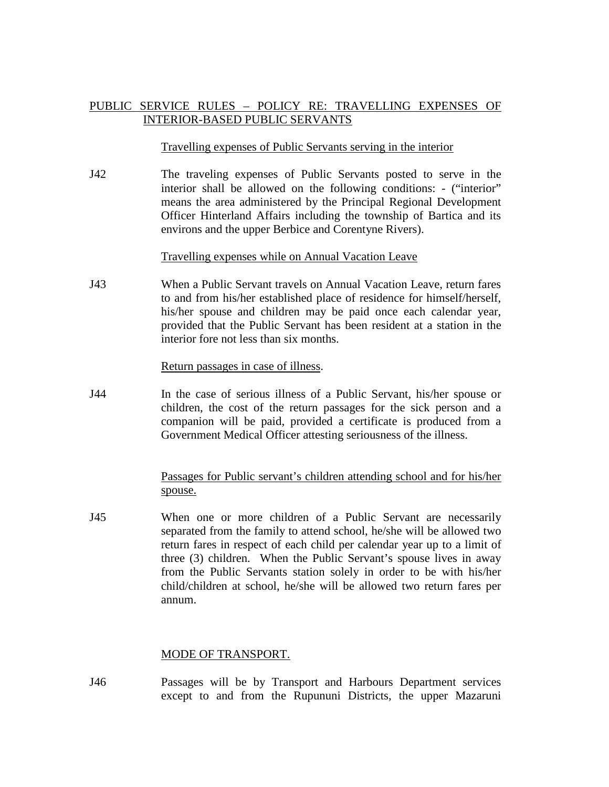# PUBLIC SERVICE RULES – POLICY RE: TRAVELLING EXPENSES OF INTERIOR-BASED PUBLIC SERVANTS

#### Travelling expenses of Public Servants serving in the interior

J42 The traveling expenses of Public Servants posted to serve in the interior shall be allowed on the following conditions: - ("interior" means the area administered by the Principal Regional Development Officer Hinterland Affairs including the township of Bartica and its environs and the upper Berbice and Corentyne Rivers).

#### Travelling expenses while on Annual Vacation Leave

J43 When a Public Servant travels on Annual Vacation Leave, return fares to and from his/her established place of residence for himself/herself, his/her spouse and children may be paid once each calendar year, provided that the Public Servant has been resident at a station in the interior fore not less than six months.

#### Return passages in case of illness.

J44 In the case of serious illness of a Public Servant, his/her spouse or children, the cost of the return passages for the sick person and a companion will be paid, provided a certificate is produced from a Government Medical Officer attesting seriousness of the illness.

## Passages for Public servant's children attending school and for his/her spouse.

J45 When one or more children of a Public Servant are necessarily separated from the family to attend school, he/she will be allowed two return fares in respect of each child per calendar year up to a limit of three (3) children. When the Public Servant's spouse lives in away from the Public Servants station solely in order to be with his/her child/children at school, he/she will be allowed two return fares per annum.

## MODE OF TRANSPORT.

J46 Passages will be by Transport and Harbours Department services except to and from the Rupununi Districts, the upper Mazaruni